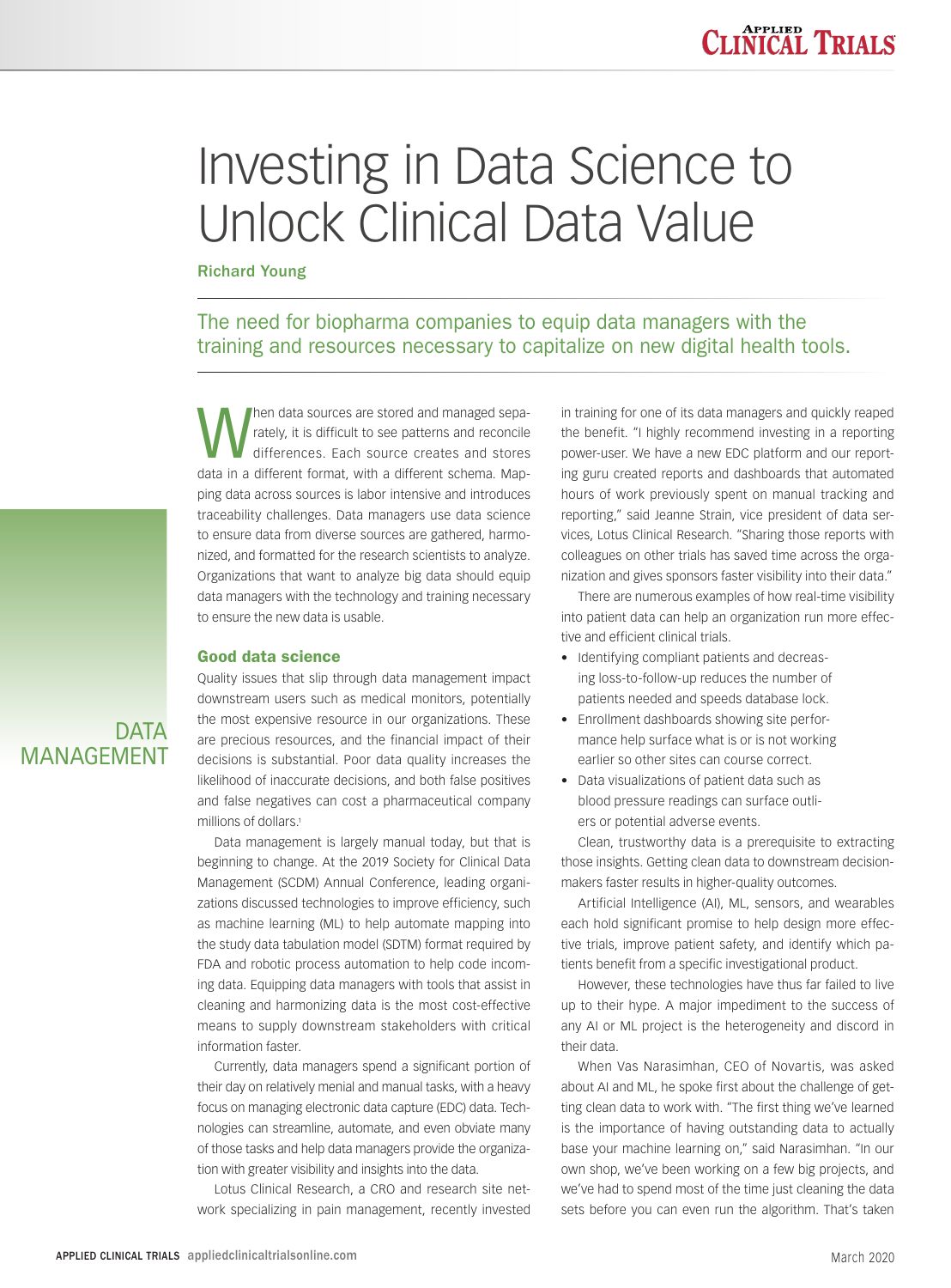# Investing in Data Science to Unlock Clinical Data Value

Richard Young

The need for biopharma companies to equip data managers with the training and resources necessary to capitalize on new digital health tools.

Men data sources are stored and managed sepa-<br>differences. Each source creates and stores<br>and stores rately, it is difficult to see patterns and reconcile data in a different format, with a different schema. Mapping data across sources is labor intensive and introduces traceability challenges. Data managers use data science to ensure data from diverse sources are gathered, harmonized, and formatted for the research scientists to analyze. Organizations that want to analyze big data should equip data managers with the technology and training necessary to ensure the new data is usable.

## Good data science

Quality issues that slip through data management impact downstream users such as medical monitors, potentially the most expensive resource in our organizations. These are precious resources, and the financial impact of their decisions is substantial. Poor data quality increases the likelihood of inaccurate decisions, and both false positives and false negatives can cost a pharmaceutical company millions of dollars.1

Data management is largely manual today, but that is beginning to change. At the 2019 Society for Clinical Data Management (SCDM) Annual Conference, leading organizations discussed technologies to improve efficiency, such as machine learning (ML) to help automate mapping into the study data tabulation model (SDTM) format required by FDA and robotic process automation to help code incoming data. Equipping data managers with tools that assist in cleaning and harmonizing data is the most cost-effective means to supply downstream stakeholders with critical information faster.

Currently, data managers spend a significant portion of their day on relatively menial and manual tasks, with a heavy focus on managing electronic data capture (EDC) data. Technologies can streamline, automate, and even obviate many of those tasks and help data managers provide the organization with greater visibility and insights into the data.

Lotus Clinical Research, a CRO and research site network specializing in pain management, recently invested in training for one of its data managers and quickly reaped the benefit. "I highly recommend investing in a reporting power-user. We have a new EDC platform and our reporting guru created reports and dashboards that automated hours of work previously spent on manual tracking and reporting," said Jeanne Strain, vice president of data services, Lotus Clinical Research. "Sharing those reports with colleagues on other trials has saved time across the organization and gives sponsors faster visibility into their data."

There are numerous examples of how real-time visibility into patient data can help an organization run more effective and efficient clinical trials.

- Identifying compliant patients and decreasing loss-to-follow-up reduces the number of patients needed and speeds database lock.
- Enrollment dashboards showing site performance help surface what is or is not working earlier so other sites can course correct.
- Data visualizations of patient data such as blood pressure readings can surface outliers or potential adverse events.

Clean, trustworthy data is a prerequisite to extracting those insights. Getting clean data to downstream decisionmakers faster results in higher-quality outcomes.

Artificial Intelligence (AI), ML, sensors, and wearables each hold significant promise to help design more effective trials, improve patient safety, and identify which patients benefit from a specific investigational product.

However, these technologies have thus far failed to live up to their hype. A major impediment to the success of any AI or ML project is the heterogeneity and discord in their data.

When Vas Narasimhan, CEO of Novartis, was asked about AI and ML, he spoke first about the challenge of getting clean data to work with. "The first thing we've learned is the importance of having outstanding data to actually base your machine learning on," said Narasimhan. "In our own shop, we've been working on a few big projects, and we've had to spend most of the time just cleaning the data sets before you can even run the algorithm. That's taken

**DATA** MANAGEMENT